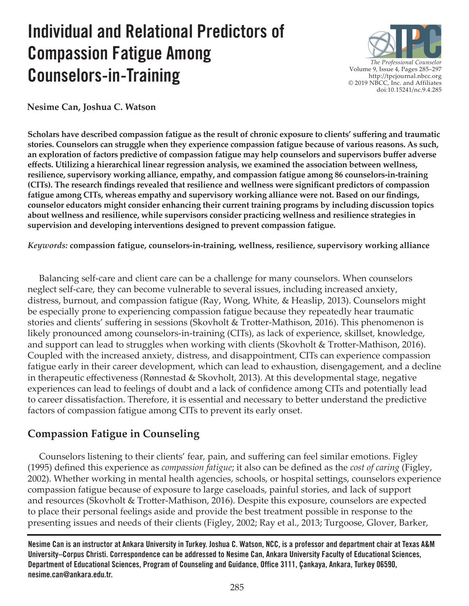# **Individual and Relational Predictors of Compassion Fatigue Among Counselors-in-Training**



**Nesime Can, Joshua C. Watson**

**Scholars have described compassion fatigue as the result of chronic exposure to clients' suffering and traumatic stories. Counselors can struggle when they experience compassion fatigue because of various reasons. As such, an exploration of factors predictive of compassion fatigue may help counselors and supervisors buffer adverse effects. Utilizing a hierarchical linear regression analysis, we examined the association between wellness, resilience, supervisory working alliance, empathy, and compassion fatigue among 86 counselors-in-training (CITs). The research findings revealed that resilience and wellness were significant predictors of compassion fatigue among CITs, whereas empathy and supervisory working alliance were not. Based on our findings, counselor educators might consider enhancing their current training programs by including discussion topics about wellness and resilience, while supervisors consider practicing wellness and resilience strategies in supervision and developing interventions designed to prevent compassion fatigue.**

*Keywords:* **compassion fatigue, counselors-in-training, wellness, resilience, supervisory working alliance**

 Balancing self-care and client care can be a challenge for many counselors. When counselors neglect self-care, they can become vulnerable to several issues, including increased anxiety, distress, burnout, and compassion fatigue (Ray, Wong, White, & Heaslip, 2013). Counselors might be especially prone to experiencing compassion fatigue because they repeatedly hear traumatic stories and clients' suffering in sessions (Skovholt & Trotter-Mathison, 2016). This phenomenon is likely pronounced among counselors-in-training (CITs), as lack of experience, skillset, knowledge, and support can lead to struggles when working with clients (Skovholt & Trotter-Mathison, 2016). Coupled with the increased anxiety, distress, and disappointment, CITs can experience compassion fatigue early in their career development, which can lead to exhaustion, disengagement, and a decline in therapeutic effectiveness (Rønnestad & Skovholt, 2013). At this developmental stage, negative experiences can lead to feelings of doubt and a lack of confidence among CITs and potentially lead to career dissatisfaction. Therefore, it is essential and necessary to better understand the predictive factors of compassion fatigue among CITs to prevent its early onset.

# **Compassion Fatigue in Counseling**

 Counselors listening to their clients' fear, pain, and suffering can feel similar emotions. Figley (1995) defined this experience as *compassion fatigue*; it also can be defined as the *cost of caring* (Figley, 2002). Whether working in mental health agencies, schools, or hospital settings, counselors experience compassion fatigue because of exposure to large caseloads, painful stories, and lack of support and resources (Skovholt & Trotter-Mathison, 2016). Despite this exposure, counselors are expected to place their personal feelings aside and provide the best treatment possible in response to the presenting issues and needs of their clients (Figley, 2002; Ray et al., 2013; Turgoose, Glover, Barker,

**Nesime Can is an instructor at Ankara University in Turkey. Joshua C. Watson, NCC, is a professor and department chair at Texas A&M University–Corpus Christi. Correspondence can be addressed to Nesime Can, Ankara University Faculty of Educational Sciences, Department of Educational Sciences, Program of Counseling and Guidance, Office 3111, Çankaya, Ankara, Turkey 06590, [nesime.can@ankara.edu.tr.](mailto:nesime.can%40ankara.edu.tr?subject=)**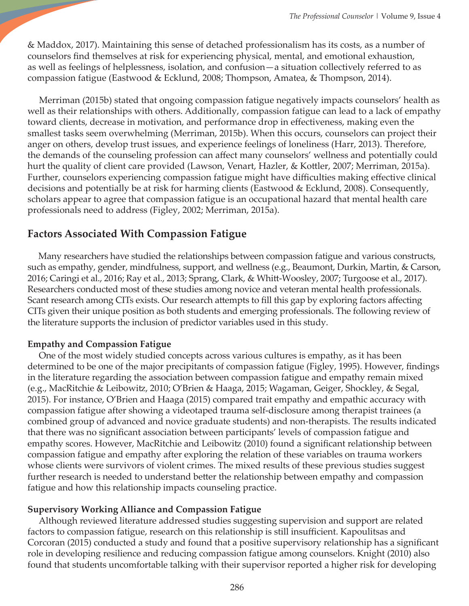& Maddox, 2017). Maintaining this sense of detached professionalism has its costs, as a number of counselors find themselves at risk for experiencing physical, mental, and emotional exhaustion, as well as feelings of helplessness, isolation, and confusion—a situation collectively referred to as compassion fatigue (Eastwood & Ecklund, 2008; Thompson, Amatea, & Thompson, 2014).

 Merriman (2015b) stated that ongoing compassion fatigue negatively impacts counselors' health as well as their relationships with others. Additionally, compassion fatigue can lead to a lack of empathy toward clients, decrease in motivation, and performance drop in effectiveness, making even the smallest tasks seem overwhelming (Merriman, 2015b). When this occurs, counselors can project their anger on others, develop trust issues, and experience feelings of loneliness (Harr, 2013). Therefore, the demands of the counseling profession can affect many counselors' wellness and potentially could hurt the quality of client care provided (Lawson, Venart, Hazler, & Kottler, 2007; Merriman, 2015a). Further, counselors experiencing compassion fatigue might have difficulties making effective clinical decisions and potentially be at risk for harming clients (Eastwood & Ecklund, 2008). Consequently, scholars appear to agree that compassion fatigue is an occupational hazard that mental health care professionals need to address (Figley, 2002; Merriman, 2015a).

# **Factors Associated With Compassion Fatigue**

 Many researchers have studied the relationships between compassion fatigue and various constructs, such as empathy, gender, mindfulness, support, and wellness (e.g., Beaumont, Durkin, Martin, & Carson, 2016; Caringi et al., 2016; Ray et al., 2013; Sprang, Clark, & Whitt-Woosley, 2007; Turgoose et al., 2017). Researchers conducted most of these studies among novice and veteran mental health professionals. Scant research among CITs exists. Our research attempts to fill this gap by exploring factors affecting CITs given their unique position as both students and emerging professionals. The following review of the literature supports the inclusion of predictor variables used in this study.

## **Empathy and Compassion Fatigue**

 One of the most widely studied concepts across various cultures is empathy, as it has been determined to be one of the major precipitants of compassion fatigue (Figley, 1995). However, findings in the literature regarding the association between compassion fatigue and empathy remain mixed (e.g., MacRitchie & Leibowitz, 2010; O'Brien & Haaga, 2015; Wagaman, Geiger, Shockley, & Segal, 2015). For instance, O'Brien and Haaga (2015) compared trait empathy and empathic accuracy with compassion fatigue after showing a videotaped trauma self-disclosure among therapist trainees (a combined group of advanced and novice graduate students) and non-therapists. The results indicated that there was no significant association between participants' levels of compassion fatigue and empathy scores. However, MacRitchie and Leibowitz (2010) found a significant relationship between compassion fatigue and empathy after exploring the relation of these variables on trauma workers whose clients were survivors of violent crimes. The mixed results of these previous studies suggest further research is needed to understand better the relationship between empathy and compassion fatigue and how this relationship impacts counseling practice.

## **Supervisory Working Alliance and Compassion Fatigue**

 Although reviewed literature addressed studies suggesting supervision and support are related factors to compassion fatigue, research on this relationship is still insufficient. Kapoulitsas and Corcoran (2015) conducted a study and found that a positive supervisory relationship has a significant role in developing resilience and reducing compassion fatigue among counselors. Knight (2010) also found that students uncomfortable talking with their supervisor reported a higher risk for developing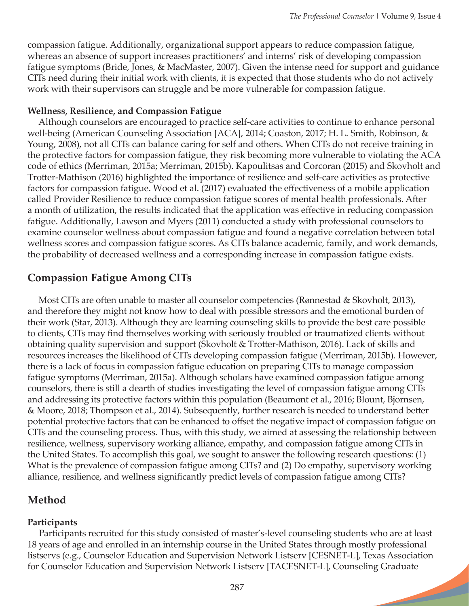compassion fatigue. Additionally, organizational support appears to reduce compassion fatigue, whereas an absence of support increases practitioners' and interns' risk of developing compassion fatigue symptoms (Bride, Jones, & MacMaster, 2007). Given the intense need for support and guidance CITs need during their initial work with clients, it is expected that those students who do not actively work with their supervisors can struggle and be more vulnerable for compassion fatigue.

## **Wellness, Resilience, and Compassion Fatigue**

 Although counselors are encouraged to practice self-care activities to continue to enhance personal well-being (American Counseling Association [ACA], 2014; Coaston, 2017; H. L. Smith, Robinson, & Young, 2008), not all CITs can balance caring for self and others. When CITs do not receive training in the protective factors for compassion fatigue, they risk becoming more vulnerable to violating the ACA code of ethics (Merriman, 2015a; Merriman, 2015b). Kapoulitsas and Corcoran (2015) and Skovholt and Trotter-Mathison (2016) highlighted the importance of resilience and self-care activities as protective factors for compassion fatigue. Wood et al. (2017) evaluated the effectiveness of a mobile application called Provider Resilience to reduce compassion fatigue scores of mental health professionals. After a month of utilization, the results indicated that the application was effective in reducing compassion fatigue. Additionally, Lawson and Myers (2011) conducted a study with professional counselors to examine counselor wellness about compassion fatigue and found a negative correlation between total wellness scores and compassion fatigue scores. As CITs balance academic, family, and work demands, the probability of decreased wellness and a corresponding increase in compassion fatigue exists.

# **Compassion Fatigue Among CITs**

 Most CITs are often unable to master all counselor competencies (Rønnestad & Skovholt, 2013), and therefore they might not know how to deal with possible stressors and the emotional burden of their work (Star, 2013). Although they are learning counseling skills to provide the best care possible to clients, CITs may find themselves working with seriously troubled or traumatized clients without obtaining quality supervision and support (Skovholt & Trotter-Mathison, 2016). Lack of skills and resources increases the likelihood of CITs developing compassion fatigue (Merriman, 2015b). However, there is a lack of focus in compassion fatigue education on preparing CITs to manage compassion fatigue symptoms (Merriman, 2015a). Although scholars have examined compassion fatigue among counselors, there is still a dearth of studies investigating the level of compassion fatigue among CITs and addressing its protective factors within this population (Beaumont et al., 2016; Blount, Bjornsen, & Moore, 2018; Thompson et al., 2014). Subsequently, further research is needed to understand better potential protective factors that can be enhanced to offset the negative impact of compassion fatigue on CITs and the counseling process. Thus, with this study, we aimed at assessing the relationship between resilience, wellness, supervisory working alliance, empathy, and compassion fatigue among CITs in the United States. To accomplish this goal, we sought to answer the following research questions: (1) What is the prevalence of compassion fatigue among CITs? and (2) Do empathy, supervisory working alliance, resilience, and wellness significantly predict levels of compassion fatigue among CITs?

# **Method**

## **Participants**

 Participants recruited for this study consisted of master's-level counseling students who are at least 18 years of age and enrolled in an internship course in the United States through mostly professional listservs (e.g., Counselor Education and Supervision Network Listserv [CESNET-L], Texas Association for Counselor Education and Supervision Network Listserv [TACESNET-L], Counseling Graduate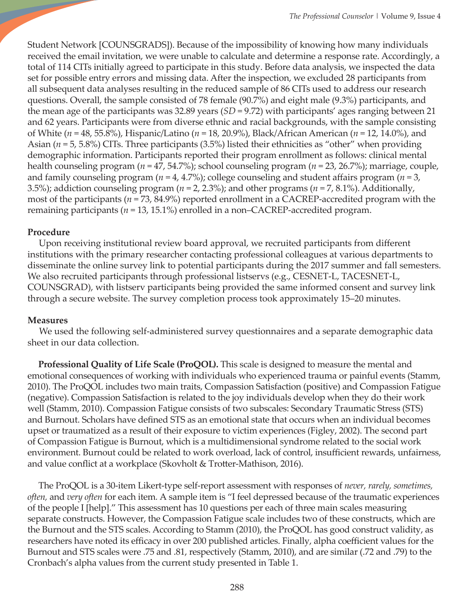Student Network [COUNSGRADS]). Because of the impossibility of knowing how many individuals received the email invitation, we were unable to calculate and determine a response rate. Accordingly, a total of 114 CITs initially agreed to participate in this study. Before data analysis, we inspected the data set for possible entry errors and missing data. After the inspection, we excluded 28 participants from all subsequent data analyses resulting in the reduced sample of 86 CITs used to address our research questions. Overall, the sample consisted of 78 female (90.7%) and eight male (9.3%) participants, and the mean age of the participants was 32.89 years (*SD* = 9.72) with participants' ages ranging between 21 and 62 years. Participants were from diverse ethnic and racial backgrounds, with the sample consisting of White (*n* = 48, 55.8%), Hispanic/Latino (*n* = 18, 20.9%), Black/African American (*n* = 12, 14.0%), and Asian (*n* = 5, 5.8%) CITs. Three participants (3.5%) listed their ethnicities as "other" when providing demographic information. Participants reported their program enrollment as follows: clinical mental health counseling program (*n* = 47, 54.7%); school counseling program (*n* = 23, 26.7%); marriage, couple, and family counseling program (*n* = 4, 4.7%); college counseling and student affairs program (*n* = 3, 3.5%); addiction counseling program (*n* = 2, 2.3%); and other programs (*n* = 7, 8.1%). Additionally, most of the participants (*n* = 73, 84.9%) reported enrollment in a CACREP-accredited program with the remaining participants (*n* = 13, 15.1%) enrolled in a non–CACREP-accredited program.

## **Procedure**

 Upon receiving institutional review board approval, we recruited participants from different institutions with the primary researcher contacting professional colleagues at various departments to disseminate the online survey link to potential participants during the 2017 summer and fall semesters. We also recruited participants through professional listservs (e.g., CESNET-L, TACESNET-L, COUNSGRAD), with listserv participants being provided the same informed consent and survey link through a secure website. The survey completion process took approximately 15–20 minutes.

## **Measures**

 We used the following self-administered survey questionnaires and a separate demographic data sheet in our data collection.

 **Professional Quality of Life Scale (ProQOL).** This scale is designed to measure the mental and emotional consequences of working with individuals who experienced trauma or painful events (Stamm, 2010). The ProQOL includes two main traits, Compassion Satisfaction (positive) and Compassion Fatigue (negative). Compassion Satisfaction is related to the joy individuals develop when they do their work well (Stamm, 2010). Compassion Fatigue consists of two subscales: Secondary Traumatic Stress (STS) and Burnout. Scholars have defined STS as an emotional state that occurs when an individual becomes upset or traumatized as a result of their exposure to victim experiences (Figley, 2002). The second part of Compassion Fatigue is Burnout, which is a multidimensional syndrome related to the social work environment. Burnout could be related to work overload, lack of control, insufficient rewards, unfairness, and value conflict at a workplace (Skovholt & Trotter-Mathison, 2016).

 The ProQOL is a 30-item Likert-type self-report assessment with responses of *never, rarely, sometimes, often,* and *very often* for each item*.* A sample item is "I feel depressed because of the traumatic experiences of the people I [help]." This assessment has 10 questions per each of three main scales measuring separate constructs. However, the Compassion Fatigue scale includes two of these constructs, which are the Burnout and the STS scales. According to Stamm (2010), the ProQOL has good construct validity, as researchers have noted its efficacy in over 200 published articles. Finally, alpha coefficient values for the Burnout and STS scales were .75 and .81, respectively (Stamm, 2010), and are similar (.72 and .79) to the Cronbach's alpha values from the current study presented in Table 1.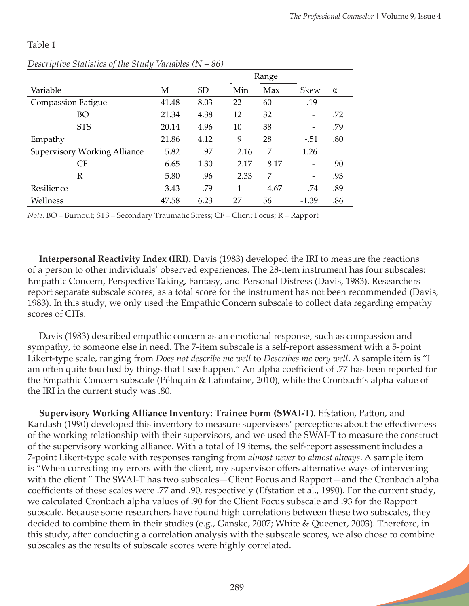**Section** 

#### Table 1

|                                     |       |           |      | Range |             |          |
|-------------------------------------|-------|-----------|------|-------|-------------|----------|
| Variable                            | М     | <b>SD</b> | Min  | Max   | <b>Skew</b> | $\alpha$ |
| <b>Compassion Fatigue</b>           | 41.48 | 8.03      | 22   | 60    | .19         |          |
| BO                                  | 21.34 | 4.38      | 12   | 32    |             | .72      |
| <b>STS</b>                          | 20.14 | 4.96      | 10   | 38    |             | .79      |
| Empathy                             | 21.86 | 4.12      | 9    | 28    | $-.51$      | .80      |
| <b>Supervisory Working Alliance</b> | 5.82  | .97       | 2.16 | 7     | 1.26        |          |
| CF                                  | 6.65  | 1.30      | 2.17 | 8.17  |             | .90      |
| R                                   | 5.80  | .96       | 2.33 | 7     |             | .93      |
| Resilience                          | 3.43  | .79       | 1    | 4.67  | $-.74$      | .89      |
| Wellness                            | 47.58 | 6.23      | 27   | 56    | $-1.39$     | .86      |

## *Descriptive Statistics of the Study Variables (N = 86)*

*Note*. BO = Burnout; STS = Secondary Traumatic Stress; CF = Client Focus; R = Rapport

 **Interpersonal Reactivity Index (IRI).** Davis (1983) developed the IRI to measure the reactions of a person to other individuals' observed experiences. The 28-item instrument has four subscales: Empathic Concern, Perspective Taking, Fantasy, and Personal Distress (Davis, 1983). Researchers report separate subscale scores, as a total score for the instrument has not been recommended (Davis, 1983). In this study, we only used the Empathic Concern subscale to collect data regarding empathy scores of CITs.

 Davis (1983) described empathic concern as an emotional response, such as compassion and sympathy, to someone else in need. The 7-item subscale is a self-report assessment with a 5-point Likert-type scale, ranging from *Does not describe me well* to *Describes me very well*. A sample item is "I am often quite touched by things that I see happen." An alpha coefficient of .77 has been reported for the Empathic Concern subscale (Péloquin & Lafontaine, 2010), while the Cronbach's alpha value of the IRI in the current study was .80.

 **Supervisory Working Alliance Inventory: Trainee Form (SWAI-T).** Efstation, Patton, and Kardash (1990) developed this inventory to measure supervisees' perceptions about the effectiveness of the working relationship with their supervisors, and we used the SWAI-T to measure the construct of the supervisory working alliance. With a total of 19 items, the self-report assessment includes a 7-point Likert-type scale with responses ranging from *almost never* to *almost always*. A sample item is "When correcting my errors with the client, my supervisor offers alternative ways of intervening with the client." The SWAI-T has two subscales – Client Focus and Rapport – and the Cronbach alpha coefficients of these scales were .77 and .90, respectively (Efstation et al., 1990). For the current study, we calculated Cronbach alpha values of .90 for the Client Focus subscale and .93 for the Rapport subscale. Because some researchers have found high correlations between these two subscales, they decided to combine them in their studies (e.g., Ganske, 2007; White & Queener, 2003). Therefore, in this study, after conducting a correlation analysis with the subscale scores, we also chose to combine subscales as the results of subscale scores were highly correlated.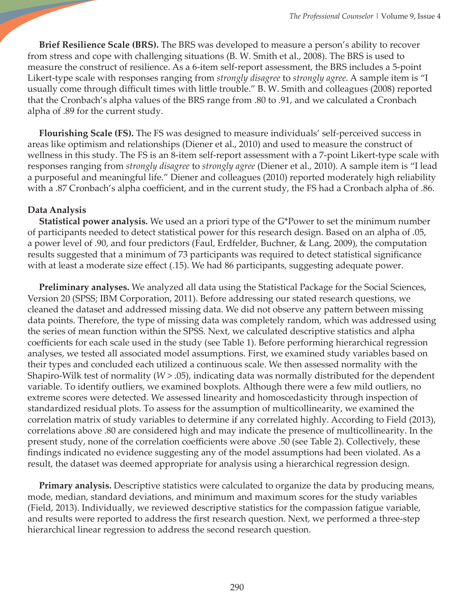**Brief Resilience Scale (BRS).** The BRS was developed to measure a person's ability to recover from stress and cope with challenging situations (B. W. Smith et al., 2008). The BRS is used to measure the construct of resilience. As a 6-item self-report assessment, the BRS includes a 5-point Likert-type scale with responses ranging from *strongly disagree* to *strongly agree*. A sample item is "I usually come through difficult times with little trouble." B. W. Smith and colleagues (2008) reported that the Cronbach's alpha values of the BRS range from .80 to .91, and we calculated a Cronbach alpha of .89 for the current study.

 **Flourishing Scale (FS).** The FS was designed to measure individuals' self-perceived success in areas like optimism and relationships (Diener et al., 2010) and used to measure the construct of wellness in this study. The FS is an 8-item self-report assessment with a 7-point Likert-type scale with responses ranging from *strongly disagree* to *strongly agree* (Diener et al., 2010). A sample item is "I lead a purposeful and meaningful life." Diener and colleagues (2010) reported moderately high reliability with a .87 Cronbach's alpha coefficient, and in the current study, the FS had a Cronbach alpha of .86.

## **Data Analysis**

 **Statistical power analysis.** We used an a priori type of the G\*Power to set the minimum number of participants needed to detect statistical power for this research design. Based on an alpha of .05, a power level of .90, and four predictors (Faul, Erdfelder, Buchner, & Lang, 2009), the computation results suggested that a minimum of 73 participants was required to detect statistical significance with at least a moderate size effect (.15). We had 86 participants, suggesting adequate power.

 **Preliminary analyses.** We analyzed all data using the Statistical Package for the Social Sciences, Version 20 (SPSS; IBM Corporation, 2011). Before addressing our stated research questions, we cleaned the dataset and addressed missing data. We did not observe any pattern between missing data points. Therefore, the type of missing data was completely random, which was addressed using the series of mean function within the SPSS. Next, we calculated descriptive statistics and alpha coefficients for each scale used in the study (see Table 1). Before performing hierarchical regression analyses, we tested all associated model assumptions. First, we examined study variables based on their types and concluded each utilized a continuous scale. We then assessed normality with the Shapiro-Wilk test of normality (*W* > .05), indicating data was normally distributed for the dependent variable. To identify outliers, we examined boxplots. Although there were a few mild outliers, no extreme scores were detected. We assessed linearity and homoscedasticity through inspection of standardized residual plots. To assess for the assumption of multicollinearity, we examined the correlation matrix of study variables to determine if any correlated highly. According to Field (2013), correlations above .80 are considered high and may indicate the presence of multicollinearity. In the present study, none of the correlation coefficients were above .50 (see Table 2). Collectively, these findings indicated no evidence suggesting any of the model assumptions had been violated. As a result, the dataset was deemed appropriate for analysis using a hierarchical regression design.

 **Primary analysis.** Descriptive statistics were calculated to organize the data by producing means, mode, median, standard deviations, and minimum and maximum scores for the study variables (Field, 2013). Individually, we reviewed descriptive statistics for the compassion fatigue variable, and results were reported to address the first research question. Next, we performed a three-step hierarchical linear regression to address the second research question.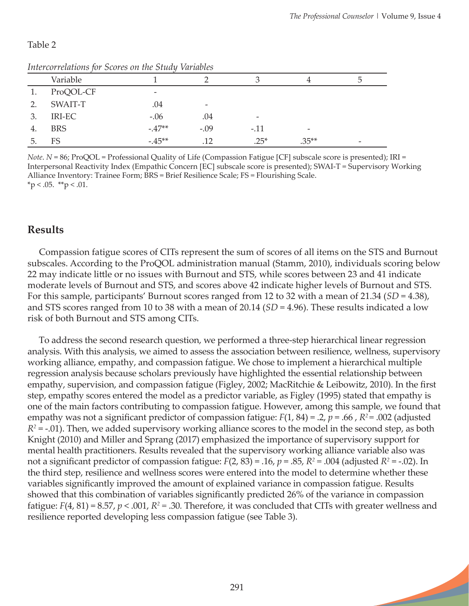**Septiment** 

## Table 2

| Intercorretations for Scores on the Stuay variables |            |                 |        |                          |         |  |
|-----------------------------------------------------|------------|-----------------|--------|--------------------------|---------|--|
|                                                     | Variable   |                 |        |                          |         |  |
|                                                     | ProQOL-CF  | $\qquad \qquad$ |        |                          |         |  |
| 2.                                                  | SWAIT-T    | .04             |        |                          |         |  |
| 3.                                                  | IRI-EC     | $-.06$          | .04    | $\overline{\phantom{a}}$ |         |  |
| 4.                                                  | <b>BRS</b> | $-.47**$        | $-.09$ | $-.11$                   |         |  |
| 5.                                                  | FS         | $-45**$         | 12     | $.25*$                   | $.35**$ |  |

#### *Intercorrelations for Scores on the Study Variables*

*Note*. *N* = 86; ProQOL = Professional Quality of Life (Compassion Fatigue [CF] subscale score is presented); IRI = Interpersonal Reactivity Index (Empathic Concern [EC] subscale score is presented); SWAI-T = Supervisory Working Alliance Inventory: Trainee Form; BRS = Brief Resilience Scale; FS = Flourishing Scale.  $*$ p < .05.  $*$  $*$ p < .01.

# **Results**

 Compassion fatigue scores of CITs represent the sum of scores of all items on the STS and Burnout subscales. According to the ProQOL administration manual (Stamm, 2010), individuals scoring below 22 may indicate little or no issues with Burnout and STS, while scores between 23 and 41 indicate moderate levels of Burnout and STS, and scores above 42 indicate higher levels of Burnout and STS. For this sample, participants' Burnout scores ranged from 12 to 32 with a mean of 21.34 (*SD* = 4.38), and STS scores ranged from 10 to 38 with a mean of 20.14 (*SD* = 4.96). These results indicated a low risk of both Burnout and STS among CITs.

 To address the second research question, we performed a three-step hierarchical linear regression analysis. With this analysis, we aimed to assess the association between resilience, wellness, supervisory working alliance, empathy, and compassion fatigue. We chose to implement a hierarchical multiple regression analysis because scholars previously have highlighted the essential relationship between empathy, supervision, and compassion fatigue (Figley, 2002; MacRitchie & Leibowitz, 2010). In the first step, empathy scores entered the model as a predictor variable, as Figley (1995) stated that empathy is one of the main factors contributing to compassion fatigue. However, among this sample, we found that empathy was not a significant predictor of compassion fatigue: *F*(1, 84) = .2, *p* = .66 , *R2 =* .002 (adjusted  $R^2$  = -.01). Then, we added supervisory working alliance scores to the model in the second step, as both Knight (2010) and Miller and Sprang (2017) emphasized the importance of supervisory support for mental health practitioners. Results revealed that the supervisory working alliance variable also was not a significant predictor of compassion fatigue:  $F(2, 83) = .16$ ,  $p = .85$ ,  $R^2 = .004$  (adjusted  $R^2 = .02$ ). In the third step, resilience and wellness scores were entered into the model to determine whether these variables significantly improved the amount of explained variance in compassion fatigue. Results showed that this combination of variables significantly predicted 26% of the variance in compassion fatigue:  $F(4, 81) = 8.57$ ,  $p < .001$ ,  $R^2 = .30$ . Therefore, it was concluded that CITs with greater wellness and resilience reported developing less compassion fatigue (see Table 3).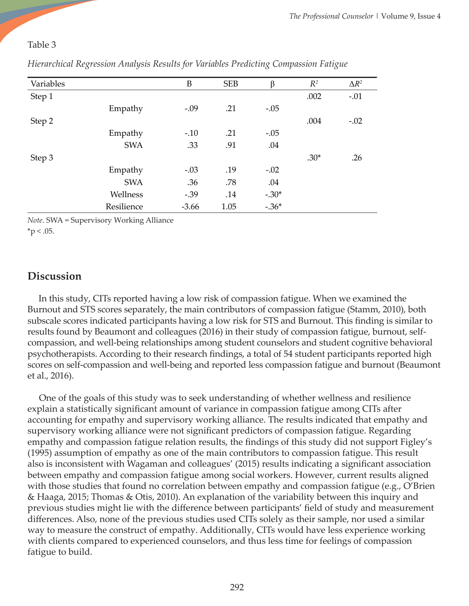## Table 3

| Variables |            | B       | <b>SEB</b> | β       | $R^2$  | $\Delta R^2$ |
|-----------|------------|---------|------------|---------|--------|--------------|
| Step 1    |            |         |            |         | .002   | $-.01$       |
|           | Empathy    | $-.09$  | .21        | $-.05$  |        |              |
| Step 2    |            |         |            |         | .004   | $-.02$       |
|           | Empathy    | $-.10$  | .21        | $-.05$  |        |              |
|           | <b>SWA</b> | .33     | .91        | .04     |        |              |
| Step 3    |            |         |            |         | $.30*$ | .26          |
|           | Empathy    | $-.03$  | .19        | $-.02$  |        |              |
|           | <b>SWA</b> | .36     | .78        | .04     |        |              |
|           | Wellness   | $-.39$  | .14        | $-.30*$ |        |              |
|           | Resilience | $-3.66$ | 1.05       | $-.36*$ |        |              |

*Hierarchical Regression Analysis Results for Variables Predicting Compassion Fatigue* 

*Note*. SWA = Supervisory Working Alliance  $*$ p < .05.

# **Discussion**

 In this study, CITs reported having a low risk of compassion fatigue. When we examined the Burnout and STS scores separately, the main contributors of compassion fatigue (Stamm, 2010), both subscale scores indicated participants having a low risk for STS and Burnout. This finding is similar to results found by Beaumont and colleagues (2016) in their study of compassion fatigue, burnout, selfcompassion, and well-being relationships among student counselors and student cognitive behavioral psychotherapists. According to their research findings, a total of 54 student participants reported high scores on self-compassion and well-being and reported less compassion fatigue and burnout (Beaumont et al., 2016).

 One of the goals of this study was to seek understanding of whether wellness and resilience explain a statistically significant amount of variance in compassion fatigue among CITs after accounting for empathy and supervisory working alliance. The results indicated that empathy and supervisory working alliance were not significant predictors of compassion fatigue. Regarding empathy and compassion fatigue relation results, the findings of this study did not support Figley's (1995) assumption of empathy as one of the main contributors to compassion fatigue. This result also is inconsistent with Wagaman and colleagues' (2015) results indicating a significant association between empathy and compassion fatigue among social workers. However, current results aligned with those studies that found no correlation between empathy and compassion fatigue (e.g., O'Brien & Haaga, 2015; Thomas & Otis, 2010). An explanation of the variability between this inquiry and previous studies might lie with the difference between participants' field of study and measurement differences. Also, none of the previous studies used CITs solely as their sample, nor used a similar way to measure the construct of empathy. Additionally, CITs would have less experience working with clients compared to experienced counselors, and thus less time for feelings of compassion fatigue to build.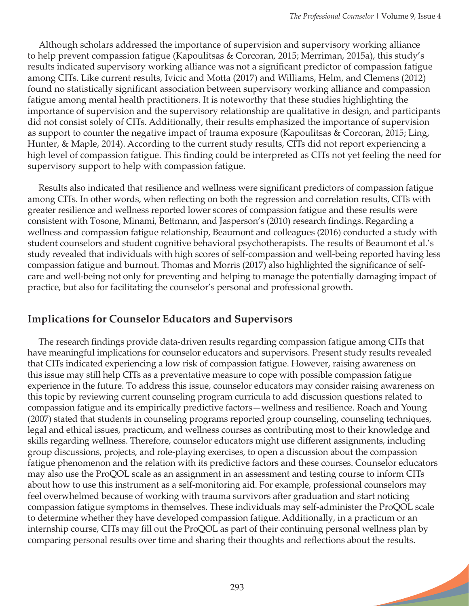Although scholars addressed the importance of supervision and supervisory working alliance to help prevent compassion fatigue (Kapoulitsas & Corcoran, 2015; Merriman, 2015a), this study's results indicated supervisory working alliance was not a significant predictor of compassion fatigue among CITs. Like current results, Ivicic and Motta (2017) and Williams, Helm, and Clemens (2012) found no statistically significant association between supervisory working alliance and compassion fatigue among mental health practitioners. It is noteworthy that these studies highlighting the importance of supervision and the supervisory relationship are qualitative in design, and participants did not consist solely of CITs. Additionally, their results emphasized the importance of supervision as support to counter the negative impact of trauma exposure (Kapoulitsas & Corcoran, 2015; Ling, Hunter, & Maple, 2014). According to the current study results, CITs did not report experiencing a high level of compassion fatigue. This finding could be interpreted as CITs not yet feeling the need for supervisory support to help with compassion fatigue.

 Results also indicated that resilience and wellness were significant predictors of compassion fatigue among CITs. In other words, when reflecting on both the regression and correlation results, CITs with greater resilience and wellness reported lower scores of compassion fatigue and these results were consistent with Tosone, Minami, Bettmann, and Jasperson's (2010) research findings. Regarding a wellness and compassion fatigue relationship, Beaumont and colleagues (2016) conducted a study with student counselors and student cognitive behavioral psychotherapists. The results of Beaumont et al.'s study revealed that individuals with high scores of self-compassion and well-being reported having less compassion fatigue and burnout. Thomas and Morris (2017) also highlighted the significance of selfcare and well-being not only for preventing and helping to manage the potentially damaging impact of practice, but also for facilitating the counselor's personal and professional growth.

# **Implications for Counselor Educators and Supervisors**

 The research findings provide data-driven results regarding compassion fatigue among CITs that have meaningful implications for counselor educators and supervisors. Present study results revealed that CITs indicated experiencing a low risk of compassion fatigue. However, raising awareness on this issue may still help CITs as a preventative measure to cope with possible compassion fatigue experience in the future. To address this issue, counselor educators may consider raising awareness on this topic by reviewing current counseling program curricula to add discussion questions related to compassion fatigue and its empirically predictive factors—wellness and resilience. Roach and Young (2007) stated that students in counseling programs reported group counseling, counseling techniques, legal and ethical issues, practicum, and wellness courses as contributing most to their knowledge and skills regarding wellness. Therefore, counselor educators might use different assignments, including group discussions, projects, and role-playing exercises, to open a discussion about the compassion fatigue phenomenon and the relation with its predictive factors and these courses. Counselor educators may also use the ProQOL scale as an assignment in an assessment and testing course to inform CITs about how to use this instrument as a self-monitoring aid. For example, professional counselors may feel overwhelmed because of working with trauma survivors after graduation and start noticing compassion fatigue symptoms in themselves. These individuals may self-administer the ProQOL scale to determine whether they have developed compassion fatigue. Additionally, in a practicum or an internship course, CITs may fill out the ProQOL as part of their continuing personal wellness plan by comparing personal results over time and sharing their thoughts and reflections about the results.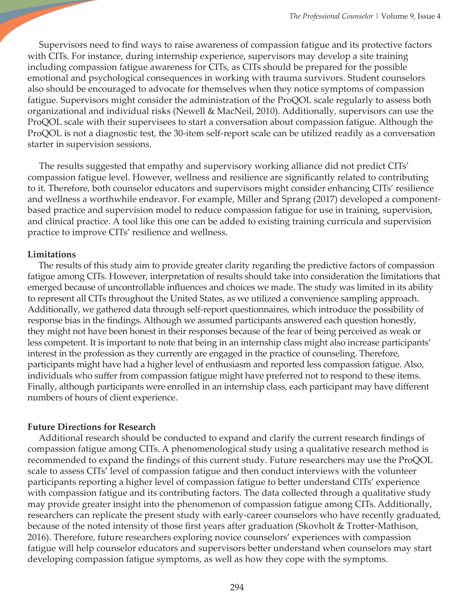Supervisors need to find ways to raise awareness of compassion fatigue and its protective factors with CITs. For instance, during internship experience, supervisors may develop a site training including compassion fatigue awareness for CITs, as CITs should be prepared for the possible emotional and psychological consequences in working with trauma survivors. Student counselors also should be encouraged to advocate for themselves when they notice symptoms of compassion fatigue. Supervisors might consider the administration of the ProQOL scale regularly to assess both organizational and individual risks (Newell & MacNeil, 2010). Additionally, supervisors can use the ProQOL scale with their supervisees to start a conversation about compassion fatigue. Although the ProQOL is not a diagnostic test, the 30-item self-report scale can be utilized readily as a conversation starter in supervision sessions.

 The results suggested that empathy and supervisory working alliance did not predict CITs' compassion fatigue level. However, wellness and resilience are significantly related to contributing to it. Therefore, both counselor educators and supervisors might consider enhancing CITs' resilience and wellness a worthwhile endeavor. For example, Miller and Sprang (2017) developed a componentbased practice and supervision model to reduce compassion fatigue for use in training, supervision, and clinical practice. A tool like this one can be added to existing training curricula and supervision practice to improve CITs' resilience and wellness.

#### **Limitations**

 The results of this study aim to provide greater clarity regarding the predictive factors of compassion fatigue among CITs. However, interpretation of results should take into consideration the limitations that emerged because of uncontrollable influences and choices we made. The study was limited in its ability to represent all CITs throughout the United States, as we utilized a convenience sampling approach. Additionally, we gathered data through self-report questionnaires, which introduce the possibility of response bias in the findings. Although we assumed participants answered each question honestly, they might not have been honest in their responses because of the fear of being perceived as weak or less competent. It is important to note that being in an internship class might also increase participants' interest in the profession as they currently are engaged in the practice of counseling. Therefore, participants might have had a higher level of enthusiasm and reported less compassion fatigue. Also, individuals who suffer from compassion fatigue might have preferred not to respond to these items. Finally, although participants were enrolled in an internship class, each participant may have different numbers of hours of client experience.

## **Future Directions for Research**

 Additional research should be conducted to expand and clarify the current research findings of compassion fatigue among CITs. A phenomenological study using a qualitative research method is recommended to expand the findings of this current study. Future researchers may use the ProQOL scale to assess CITs' level of compassion fatigue and then conduct interviews with the volunteer participants reporting a higher level of compassion fatigue to better understand CITs' experience with compassion fatigue and its contributing factors. The data collected through a qualitative study may provide greater insight into the phenomenon of compassion fatigue among CITs. Additionally, researchers can replicate the present study with early-career counselors who have recently graduated, because of the noted intensity of those first years after graduation (Skovholt & Trotter-Mathison, 2016). Therefore, future researchers exploring novice counselors' experiences with compassion fatigue will help counselor educators and supervisors better understand when counselors may start developing compassion fatigue symptoms, as well as how they cope with the symptoms.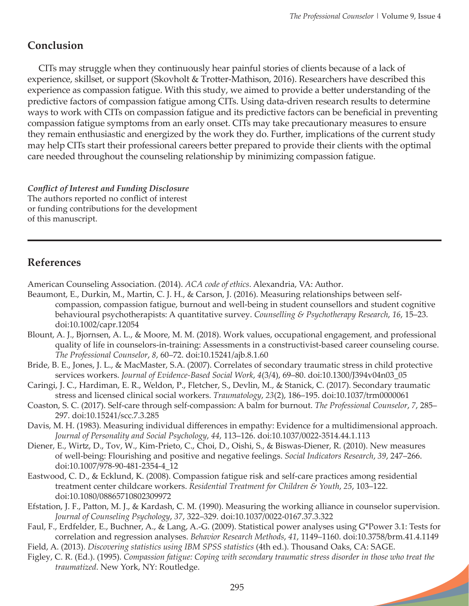**Septiment** 

# **Conclusion**

 CITs may struggle when they continuously hear painful stories of clients because of a lack of experience, skillset, or support (Skovholt & Trotter-Mathison, 2016). Researchers have described this experience as compassion fatigue. With this study, we aimed to provide a better understanding of the predictive factors of compassion fatigue among CITs. Using data-driven research results to determine ways to work with CITs on compassion fatigue and its predictive factors can be beneficial in preventing compassion fatigue symptoms from an early onset. CITs may take precautionary measures to ensure they remain enthusiastic and energized by the work they do. Further, implications of the current study may help CITs start their professional careers better prepared to provide their clients with the optimal care needed throughout the counseling relationship by minimizing compassion fatigue.

*Conflict of Interest and Funding Disclosure*  The authors reported no conflict of interest or funding contributions for the development of this manuscript.

# **References**

American Counseling Association. (2014). *ACA code of ethics*. Alexandria, VA: Author.

- Beaumont, E., Durkin, M., Martin, C. J. H., & Carson, J. (2016). Measuring relationships between selfcompassion, compassion fatigue, burnout and well‐being in student counsellors and student cognitive behavioural psychotherapists: A quantitative survey. *Counselling & Psychotherapy Research*, *16*, 15–23. doi:10.1002/capr.12054
- Blount, A. J., Bjornsen, A. L., & Moore, M. M. (2018). Work values, occupational engagement, and professional quality of life in counselors-in-training: Assessments in a constructivist-based career counseling course. *The Professional Counselor*, *8*, 60–72. doi:10.15241/ajb.8.1.60
- Bride, B. E., Jones, J. L., & MacMaster, S.A. (2007). Correlates of secondary traumatic stress in child protective services workers. *Journal of Evidence-Based Social Work*, *4*(3/4), 69–80. doi:10.1300/J394v04n03\_05
- Caringi, J. C., Hardiman, E. R., Weldon, P., Fletcher, S., Devlin, M., & Stanick, C. (2017). Secondary traumatic stress and licensed clinical social workers. *Traumatology*, *23*(2), 186–195. doi:10.1037/trm0000061
- Coaston, S. C. (2017). Self-care through self-compassion: A balm for burnout. *The Professional Counselor*, *7*, 285– 297. doi:10.15241/scc.7.3.285
- Davis, M. H. (1983). Measuring individual differences in empathy: Evidence for a multidimensional approach. *Journal of Personality and Social Psychology*, *44*, 113–126. doi:10.1037/0022-3514.44.1.113
- Diener, E., Wirtz, D., Tov, W., Kim-Prieto, C., Choi, D., Oishi, S., & Biswas-Diener, R. (2010). New measures of well-being: Flourishing and positive and negative feelings. *Social Indicators Research*, *39*, 247–266. doi:10.1007/978-90-481-2354-4\_12
- Eastwood, C. D., & Ecklund, K. (2008). Compassion fatigue risk and self-care practices among residential treatment center childcare workers. *Residential Treatment for Children & Youth*, *25*, 103–122. doi:10.1080/08865710802309972
- Efstation, J. F., Patton, M. J., & Kardash, C. M. (1990). Measuring the working alliance in counselor supervision. *Journal of Counseling Psychology*, *37*, 322–329. doi:10.1037/0022-0167.37.3.322
- Faul, F., Erdfelder, E., Buchner, A., & Lang, A.-G. (2009). Statistical power analyses using G\*Power 3.1: Tests for correlation and regression analyses. *Behavior Research Methods*, *41*, 1149–1160. doi:10.3758/brm.41.4.1149
- Field, A. (2013). *Discovering statistics using IBM SPSS statistics* (4th ed.). Thousand Oaks, CA: SAGE.
- Figley, C. R. (Ed.). (1995). *Compassion fatigue: Coping with secondary traumatic stress disorder in those who treat the traumatized*. New York, NY: Routledge.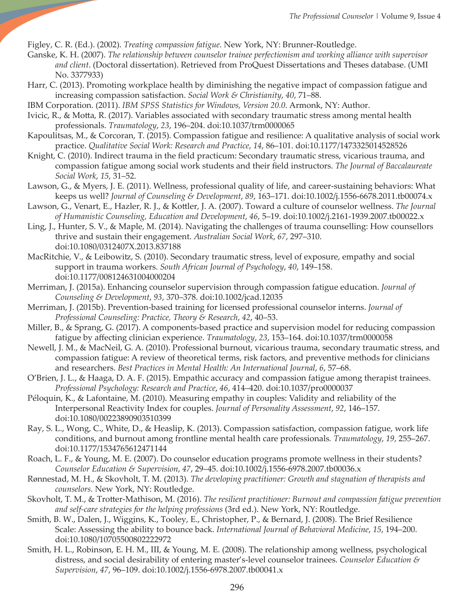Figley, C. R. (Ed.). (2002). *Treating compassion fatigue.* New York, NY: Brunner-Routledge.

- Ganske, K. H. (2007). *The relationship between counselor trainee perfectionism and working alliance with supervisor and client*. (Doctoral dissertation). Retrieved from ProQuest Dissertations and Theses database. (UMI No. 3377933)
- Harr, C. (2013). Promoting workplace health by diminishing the negative impact of compassion fatigue and increasing compassion satisfaction. *Social Work & Christianity*, *40*, 71–88.
- IBM Corporation. (2011). *IBM SPSS Statistics for Windows, Version 20.0*. Armonk, NY: Author.
- Ivicic, R., & Motta, R. (2017). Variables associated with secondary traumatic stress among mental health professionals. *Traumatology*, *23*, 196–204. doi:10.1037/trm0000065
- Kapoulitsas, M., & Corcoran, T. (2015). Compassion fatigue and resilience: A qualitative analysis of social work practice. *Qualitative Social Work: Research and Practice*, *14*, 86–101. doi:10.1177/1473325014528526
- Knight, C. (2010). Indirect trauma in the field practicum: Secondary traumatic stress, vicarious trauma, and compassion fatigue among social work students and their field instructors. *The Journal of Baccalaureate Social Work*, *15*, 31–52.
- Lawson, G., & Myers, J. E. (2011). Wellness, professional quality of life, and career-sustaining behaviors: What keeps us well? *Journal of Counseling & Development*, *89*, 163–171. doi:10.1002/j.1556-6678.2011.tb00074.x
- Lawson, G., Venart, E., Hazler, R. J., & Kottler, J. A. (2007). Toward a culture of counselor wellness. *The Journal of Humanistic Counseling, Education and Development*, *46*, 5–19. doi:10.1002/j.2161-1939.2007.tb00022.x
- Ling, J., Hunter, S. V., & Maple, M. (2014). Navigating the challenges of trauma counselling: How counsellors thrive and sustain their engagement. *Australian Social Work*, *67*, 297–310. doi:10.1080/0312407X.2013.837188
- MacRitchie, V., & Leibowitz, S. (2010). Secondary traumatic stress, level of exposure, empathy and social support in trauma workers. *South African Journal of Psychology*, *40*, 149–158. doi:10.1177/008124631004000204
- Merriman, J. (2015a). Enhancing counselor supervision through compassion fatigue education. *Journal of Counseling & Development*, *93*, 370–378. doi:10.1002/jcad.12035
- Merriman, J. (2015b). Prevention-based training for licensed professional counselor interns. *Journal of Professional Counseling: Practice, Theory & Research*, *42*, 40–53.
- Miller, B., & Sprang, G. (2017). A components-based practice and supervision model for reducing compassion fatigue by affecting clinician experience. *Traumatology*, *23*, 153–164. doi:10.1037/trm0000058
- Newell, J. M., & MacNeil, G. A. (2010). Professional burnout, vicarious trauma, secondary traumatic stress, and compassion fatigue: A review of theoretical terms, risk factors, and preventive methods for clinicians and researchers. *Best Practices in Mental Health: An International Journal*, *6*, 57–68.
- O'Brien, J. L., & Haaga, D. A. F. (2015). Empathic accuracy and compassion fatigue among therapist trainees. *Professional Psychology: Research and Practice*, *46*, 414–420. doi:10.1037/pro0000037
- Péloquin, K., & Lafontaine, M. (2010). Measuring empathy in couples: Validity and reliability of the Interpersonal Reactivity Index for couples. *Journal of Personality Assessment*, *92*, 146–157. doi:10.1080/00223890903510399
- Ray, S. L., Wong, C., White, D., & Heaslip, K. (2013). Compassion satisfaction, compassion fatigue, work life conditions, and burnout among frontline mental health care professionals*. Traumatology*, *19*, 255–267. doi:10.1177/1534765612471144
- Roach, L. F., & Young, M. E. (2007). Do counselor education programs promote wellness in their students? *Counselor Education & Supervision*, *47*, 29–45. doi:10.1002/j.1556-6978.2007.tb00036.x
- Rønnestad, M. H., & Skovholt, T. M. (2013). *The developing practitioner: Growth and stagnation of therapists and counselors.* New York, NY: Routledge.
- Skovholt, T. M., & Trotter-Mathison, M. (2016). *The resilient practitioner: Burnout and compassion fatigue prevention and self-care strategies for the helping professions* (3rd ed.). New York, NY: Routledge.
- Smith, B. W., Dalen, J., Wiggins, K., Tooley, E., Christopher, P., & Bernard, J. (2008). The Brief Resilience Scale: Assessing the ability to bounce back. *International Journal of Behavioral Medicine*, *15*, 194–200. doi:10.1080/10705500802222972
- Smith, H. L., Robinson, E. H. M., III, & Young, M. E. (2008). The relationship among wellness, psychological distress, and social desirability of entering master's-level counselor trainees. *Counselor Education & Supervision*, *47*, 96–109. doi:10.1002/j.1556-6978.2007.tb00041.x